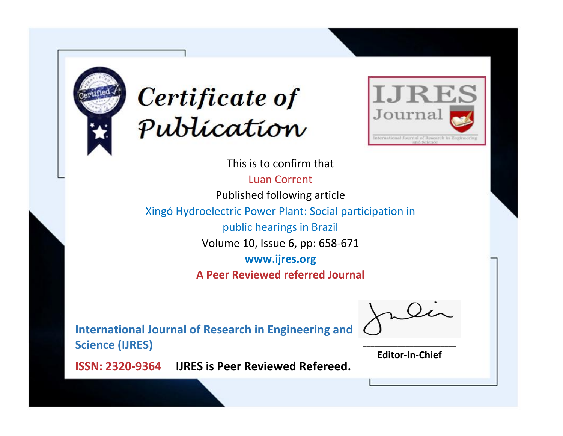



This is to confirm that Luan Corrent Published following article Xingó Hydroelectric Power Plant: Social participation in public hearings in Brazil Volume 10, Issue 6, pp: 658-671 **www.ijres.org A Peer Reviewed referred Journal**

**International Journal of Research in Engineering and Science (IJRES)**

\_\_\_\_\_\_\_\_\_\_\_\_\_\_\_\_\_\_\_\_\_\_\_\_ **Editor-In-Chief**

**Journal.**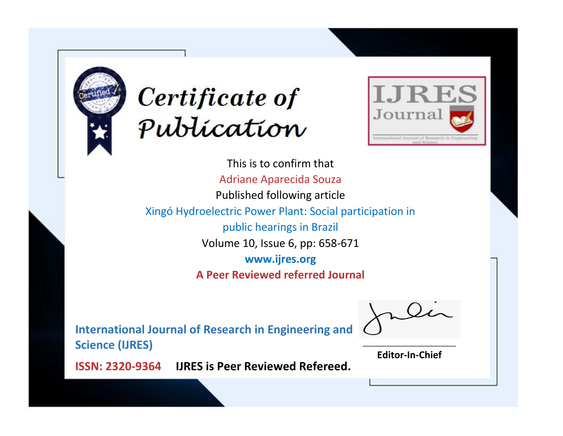



This is to confirm that Adriane Aparecida Souza Published following article Xingó Hydroelectric Power Plant: Social participation in public hearings in Brazil Volume 10, Issue 6, pp: 658-671 **www.ijres.org A Peer Reviewed referred Journal**

**International Journal of Research in Engineering and Science (IJRES)**

\_\_\_\_\_\_\_\_\_\_\_\_\_\_\_\_\_\_\_\_\_\_\_\_ **Editor-In-Chief**

**Journal.**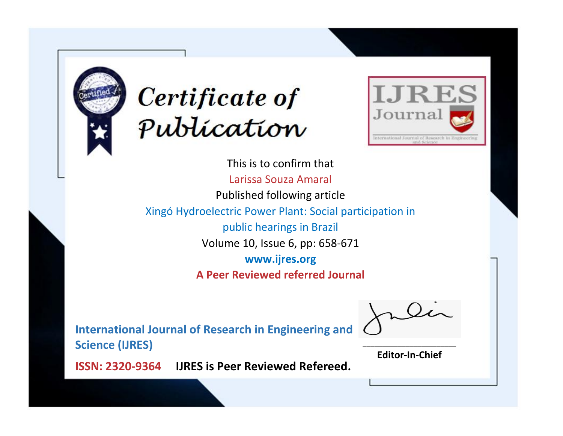



This is to confirm that Larissa Souza Amaral Published following article Xingó Hydroelectric Power Plant: Social participation in public hearings in Brazil Volume 10, Issue 6, pp: 658-671 **www.ijres.org A Peer Reviewed referred Journal**

**International Journal of Research in Engineering and Science (IJRES)**

\_\_\_\_\_\_\_\_\_\_\_\_\_\_\_\_\_\_\_\_\_\_\_\_ **Editor-In-Chief**

**Journal.**